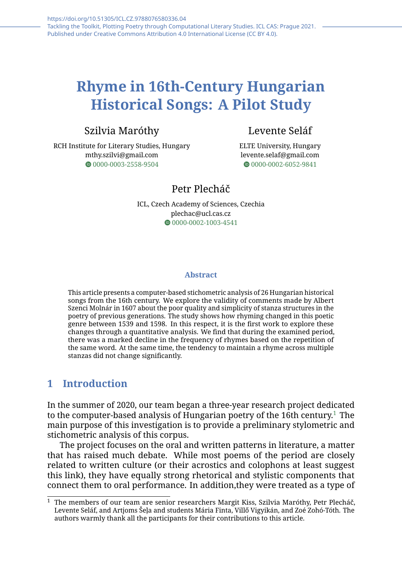# **Rhyme in 16th-Century Hungarian Historical Songs: A Pilot Study**

# Szilvia Maróthy

RCH Institute for Literary Studies, Hungary mthy.szilvi@gmail.com  $\bullet$  [0000-0003-2558-9504](https://orcid.org/0000-0003-2558-9504)

# Levente Seláf

ELTE University, Hungary levente.selaf@gmail.com  $\bullet$  [0000-0002-6052-9841](https://orcid.org/0000-0002-6052-9841)

## Petr Plecháč

ICL, Czech Academy of Sciences, Czechia plechac@ucl.cas.cz  $\bullet$ [0000-0002-1003-4541](https://orcid.org/0000-0002-1003-4541)

#### **Abstract**

This article presents a computer-based stichometric analysis of 26 Hungarian historical songs from the 16th century. We explore the validity of comments made by Albert Szenci Molnár in 1607 about the poor quality and simplicity of stanza structures in the poetry of previous generations. The study shows how rhyming changed in this poetic genre between 1539 and 1598. In this respect, it is the first work to explore these changes through a quantitative analysis. We find that during the examined period, there was a marked decline in the frequency of rhymes based on the repetition of the same word. At the same time, the tendency to maintain a rhyme across multiple stanzas did not change significantly.

## **1 Introduction**

In the summer of 2020, our team began a three-year research project dedicated to the computer-based analysis of Hungarian poetry of the [1](#page-0-0)6th century.<sup>1</sup> The main purpose of this investigation is to provide a preliminary stylometric and stichometric analysis of this corpus.

The project focuses on the oral and written patterns in literature, a matter that has raised much debate. While most poems of the period are closely related to written culture (or their acrostics and colophons at least suggest this link), they have equally strong rhetorical and stylistic components that connect them to oral performance. In addition,they were treated as a type of

<span id="page-0-0"></span> $1$  The members of our team are senior researchers Margit Kiss, Szilvia Maróthy, Petr Plecháč, Levente Seláf, and Artjoms Šeļa and students Mária Finta, Villő Vigyikán, and Zoé Zohó-Tóth. The authors warmly thank all the participants for their contributions to this article.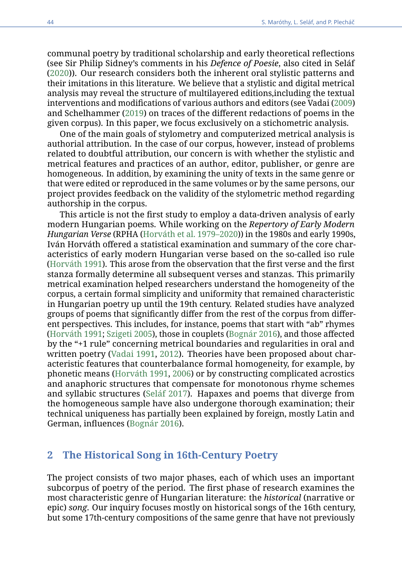communal poetry by traditional scholarship and early theoretical reflections (see Sir Philip Sidney's comments in his *Defence of Poesie*, also cited in Seláf [\(2020\)](#page-14-0)). Our research considers both the inherent oral stylistic patterns and their imitations in this literature. We believe that a stylistic and digital metrical analysis may reveal the structure of multilayered editions,including the textual interventions and modifications of various authors and editors (see Vadai [\(2009\)](#page-14-1) and Schelhammer [\(2019\)](#page-14-2) on traces of the different redactions of poems in the given corpus). In this paper, we focus exclusively on a stichometric analysis.

One of the main goals of stylometry and computerized metrical analysis is authorial attribution. In the case of our corpus, however, instead of problems related to doubtful attribution, our concern is with whether the stylistic and metrical features and practices of an author, editor, publisher, or genre are homogeneous. In addition, by examining the unity of texts in the same genre or that were edited or reproduced in the same volumes or by the same persons, our project provides feedback on the validity of the stylometric method regarding authorship in the corpus.

This article is not the first study to employ a data-driven analysis of early modern Hungarian poems. While working on the *Repertory of Early Modern Hungarian Verse* (RPHA [\(Horváth et al. 1979–2020\)](#page-13-0)) in the 1980s and early 1990s, Iván Horváth offered a statistical examination and summary of the core characteristics of early modern Hungarian verse based on the so-called iso rule [\(Horváth 1991\)](#page-13-1). This arose from the observation that the first verse and the first stanza formally determine all subsequent verses and stanzas. This primarily metrical examination helped researchers understand the homogeneity of the corpus, a certain formal simplicity and uniformity that remained characteristic in Hungarian poetry up until the 19th century. Related studies have analyzed groups of poems that significantly differ from the rest of the corpus from different perspectives. This includes, for instance, poems that start with "ab" rhymes [\(Horváth 1991;](#page-13-1) [Szigeti 2005\)](#page-14-3), those in couplets [\(Bognár 2016\)](#page-13-2), and those affected by the "+1 rule" concerning metrical boundaries and regularities in oral and written poetry [\(Vadai 1991,](#page-14-4) [2012\)](#page-14-5). Theories have been proposed about characteristic features that counterbalance formal homogeneity, for example, by phonetic means [\(Horváth 1991,](#page-13-1) [2006\)](#page-13-3) or by constructing complicated acrostics and anaphoric structures that compensate for monotonous rhyme schemes and syllabic structures [\(Seláf 2017\)](#page-14-6). Hapaxes and poems that diverge from the homogeneous sample have also undergone thorough examination; their technical uniqueness has partially been explained by foreign, mostly Latin and German, influences [\(Bognár 2016\)](#page-13-2).

### **2 The Historical Song in 16th-Century Poetry**

The project consists of two major phases, each of which uses an important subcorpus of poetry of the period. The first phase of research examines the most characteristic genre of Hungarian literature: the *historical* (narrative or epic) *song*. Our inquiry focuses mostly on historical songs of the 16th century, but some 17th-century compositions of the same genre that have not previously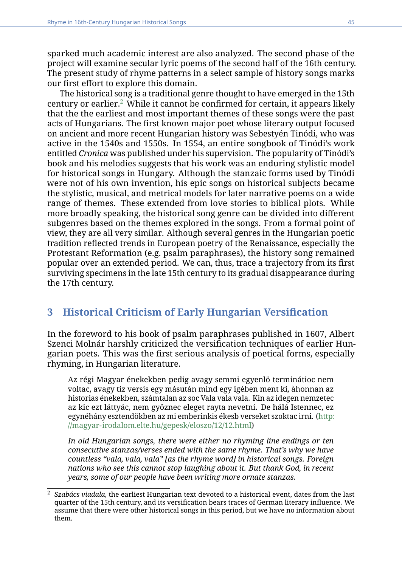sparked much academic interest are also analyzed. The second phase of the project will examine secular lyric poems of the second half of the 16th century. The present study of rhyme patterns in a select sample of history songs marks our first effort to explore this domain.

The historical song is a traditional genre thought to have emerged in the 15th century or earlier.[2](#page-2-0) While it cannot be confirmed for certain, it appears likely that the the earliest and most important themes of these songs were the past acts of Hungarians. The first known major poet whose literary output focused on ancient and more recent Hungarian history was Sebestyén Tinódi, who was active in the 1540s and 1550s. In 1554, an entire songbook of Tinódi's work entitled *Cronica* was published under his supervision. The popularity of Tinódi's book and his melodies suggests that his work was an enduring stylistic model for historical songs in Hungary. Although the stanzaic forms used by Tinódi were not of his own invention, his epic songs on historical subjects became the stylistic, musical, and metrical models for later narrative poems on a wide range of themes. These extended from love stories to biblical plots. While more broadly speaking, the historical song genre can be divided into different subgenres based on the themes explored in the songs. From a formal point of view, they are all very similar. Although several genres in the Hungarian poetic tradition reflected trends in European poetry of the Renaissance, especially the Protestant Reformation (e.g. psalm paraphrases), the history song remained popular over an extended period. We can, thus, trace a trajectory from its first surviving specimens in the late 15th century to its gradual disappearance during the 17th century.

## **3 Historical Criticism of Early Hungarian Versification**

In the foreword to his book of psalm paraphrases published in 1607, Albert Szenci Molnár harshly criticized the versification techniques of earlier Hungarian poets. This was the first serious analysis of poetical forms, especially rhyming, in Hungarian literature.

Az régi Magyar énekekben pedig avagy semmi egyenlö terminátioc nem voltac, avagy tiz versis egy másután mind egy igében ment ki, àhonnan az historias énekekben, számtalan az soc Vala vala vala. Kin az idegen nemzetec az kic ezt láttyác, nem gyöznec eleget rayta nevetni. De hálá Istennec, ez egynéhány esztendökben az mi emberinkis ékesb verseket szoktac irni. [\(http:](http://magyar-irodalom.elte.hu/gepesk/eloszo/12/12.html) [//magyar-irodalom.elte.hu/gepesk/eloszo/12/12.html\)](http://magyar-irodalom.elte.hu/gepesk/eloszo/12/12.html)

*In old Hungarian songs, there were either no rhyming line endings or ten consecutive stanzas/verses ended with the same rhyme. That's why we have countless "vala, vala, vala" [as the rhyme word] in historical songs. Foreign nations who see this cannot stop laughing about it. But thank God, in recent years, some of our people have been writing more ornate stanzas.*

<span id="page-2-0"></span><sup>2</sup> *Szabács viadala*, the earliest Hungarian text devoted to a historical event, dates from the last quarter of the 15th century, and its versification bears traces of German literary influence. We assume that there were other historical songs in this period, but we have no information about them.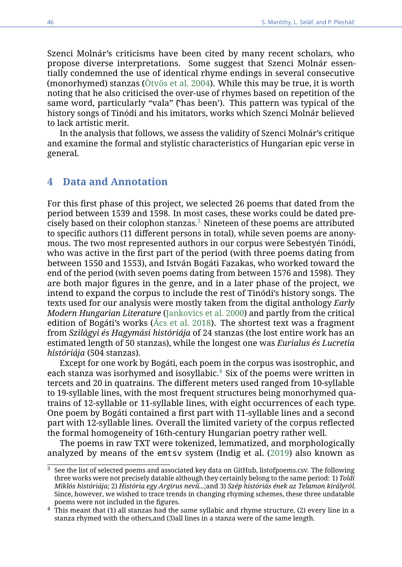Szenci Molnár's criticisms have been cited by many recent scholars, who propose diverse interpretations. Some suggest that Szenci Molnár essentially condemned the use of identical rhyme endings in several consecutive (monorhymed) stanzas [\(Ötvös et al. 2004\)](#page-14-7). While this may be true, it is worth noting that he also criticised the over-use of rhymes based on repetition of the same word, particularly "vala" ('̃has been'). This pattern was typical of the history songs of Tinódi and his imitators, works which Szenci Molnár believed to lack artistic merit.

In the analysis that follows, we assess the validity of Szenci Molnár's critique and examine the formal and stylistic characteristics of Hungarian epic verse in general.

#### **4 Data and Annotation**

For this first phase of this project, we selected 26 poems that dated from the period between 1539 and 1598. In most cases, these works could be dated precisely based on their colophon stanzas.[3](#page-3-0) Nineteen of these poems are attributed to specific authors (11 different persons in total), while seven poems are anonymous. The two most represented authors in our corpus were Sebestyén Tinódi, who was active in the first part of the period (with three poems dating from between 1550 and 1553), and István Bogáti Fazakas, who worked toward the end of the period (with seven poems dating from between 1576 and 1598). They are both major figures in the genre, and in a later phase of the project, we intend to expand the corpus to include the rest of Tinódi's history songs. The texts used for our analysis were mostly taken from the digital anthology *Early Modern Hungarian Literature* [\(Jankovics et al. 2000\)](#page-13-4) and partly from the critical edition of Bogáti's works [\(Ács et al. 2018\)](#page-13-5). The shortest text was a fragment from *Szilágyi és Hagymási históriája* of 24 stanzas (the lost entire work has an estimated length of 50 stanzas), while the longest one was *Eurialus és Lucretia históriája* (504 stanzas).

Except for one work by Bogáti, each poem in the corpus was isostrophic, and each stanza was isorhymed and isosyllabic.<sup>[4](#page-3-1)</sup> Six of the poems were written in tercets and 20 in quatrains. The different meters used ranged from 10-syllable to 19-syllable lines, with the most frequent structures being monorhymed quatrains of 12-syllable or 11-syllable lines, with eight occurrences of each type. One poem by Bogáti contained a first part with 11-syllable lines and a second part with 12-syllable lines. Overall the limited variety of the corpus reflected the formal homogeneity of 16th-century Hungarian poetry rather well.

The poems in raw TXT were tokenized, lemmatized, and morphologically analyzed by means of the emtsv system (Indig et al. [\(2019\)](#page-13-6) also known as

<span id="page-3-0"></span> $3$  See the list of selected poems and associated key data on GitHub, listofpoems.csv. The following three works were not precisely datable although they certainly belong to the same period: 1) *Toldi Miklós históriája*; 2) *História egy Argirus nevű...*;and 3) *Szép históriás ének az Telamon királyról*. Since, however, we wished to trace trends in changing rhyming schemes, these three undatable poems were not included in the figures.

<span id="page-3-1"></span> $4$  This meant that (1) all stanzas had the same syllabic and rhyme structure, (2) every line in a stanza rhymed with the others,and (3)all lines in a stanza were of the same length.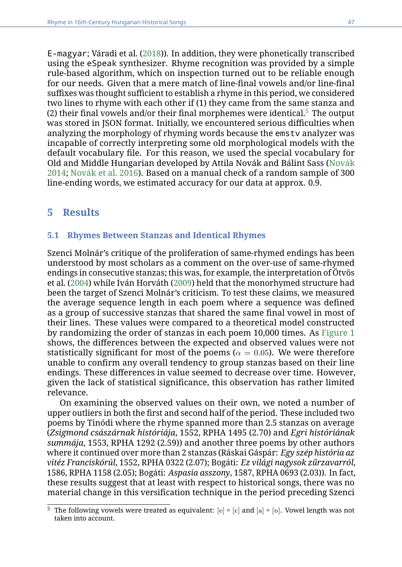E-magyar; Váradi et al. [\(2018\)](#page-15-0)). In addition, they were phonetically transcribed using the eSpeak synthesizer. Rhyme recognition was provided by a simple rule-based algorithm, which on inspection turned out to be reliable enough for our needs. Given that a mere match of line-final vowels and/or line-final suffixes was thought sufficient to establish a rhyme in this period, we considered two lines to rhyme with each other if (1) they came from the same stanza and (2) their final vowels and/or their final morphemes were identical.<sup>[5](#page-4-0)</sup> The output was stored in JSON format. Initially, we encountered serious difficulties when analyzing the morphology of rhyming words because the emstv analyzer was incapable of correctly interpreting some old morphological models with the default vocabulary file. For this reason, we used the special vocabulary for Old and Middle Hungarian developed by Attila Novák and Bálint Sass [\(Novák](#page-14-8) [2014;](#page-14-8) [Novák et al. 2016\)](#page-14-9). Based on a manual check of a random sample of 300 line-ending words, we estimated accuracy for our data at approx. 0.9.

#### **5 Results**

#### **5.1 Rhymes Between Stanzas and Identical Rhymes**

Szenci Molnár's critique of the proliferation of same-rhymed endings has been understood by most scholars as a comment on the over-use of same-rhymed endings in consecutive stanzas; this was, for example, the interpretation of Ötvös et al. [\(2004\)](#page-14-7) while Iván Horváth [\(2009\)](#page-13-7) held that the monorhymed structure had been the target of Szenci Molnár's criticism. To test these claims, we measured the average sequence length in each poem where a sequence was defined as a group of successive stanzas that shared the same final vowel in most of their lines. These values were compared to a theoretical model constructed by randomizing the order of stanzas in each poem 10,000 times. As [Figure 1](#page-5-0) shows, the differences between the expected and observed values were not statistically significant for most of the poems ( $\alpha = 0.05$ ). We were therefore unable to confirm any overall tendency to group stanzas based on their line endings. These differences in value seemed to decrease over time. However, given the lack of statistical significance, this observation has rather limited relevance.

On examining the observed values on their own, we noted a number of upper outliers in both the first and second half of the period. These included two poems by Tinódi where the rhyme spanned more than 2.5 stanzas on average (*Zsigmond császárnak históriája*, 1552, RPHA 1495 (2.70) and *Egri históriának summája*, 1553, RPHA 1292 (2.59)) and another three poems by other authors where it continued over more than 2 stanzas (Ráskai Gáspár: *Egy szép história az vitéz Franciskórúl*, 1552, RPHA 0322 (2.07); Bogáti: *Ez világi nagysok zűrzavarról*, 1586, RPHA 1158 (2.05); Bogáti: *Aspasia asszony*, 1587, RPHA 0693 (2.03)). In fact, these results suggest that at least with respect to historical songs, there was no material change in this versification technique in the period preceding Szenci

<span id="page-4-0"></span><sup>&</sup>lt;sup>5</sup> The following vowels were treated as equivalent:  $[e] = [E]$  and  $[a] = [D]$ . Vowel length was not taken into account.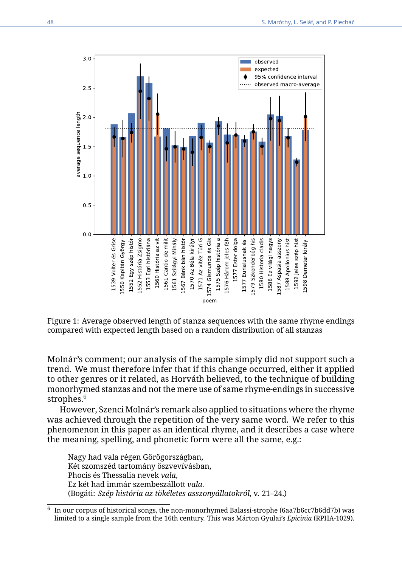<span id="page-5-0"></span>

Figure 1: Average observed length of stanza sequences with the same rhyme endings compared with expected length based on a random distribution of all stanzas

Molnár's comment; our analysis of the sample simply did not support such a trend. We must therefore infer that if this change occurred, either it applied to other genres or it related, as Horváth believed, to the technique of building monorhymed stanzas and not the mere use of same rhyme-endings in successive strophes.<sup>[6](#page-5-1)</sup>

However, Szenci Molnár's remark also applied to situations where the rhyme was achieved through the repetition of the very same word. We refer to this phenomenon in this paper as an identical rhyme, and it describes a case where the meaning, spelling, and phonetic form were all the same, e.g.:

Nagy had vala régen Görögországban, Két szomszéd tartomány öszvevívásban, Phocis és Thessalia nevek *vala*, Ez két had immár szembeszállott *vala*. (Bogáti: *Szép história az tökéletes asszonyállatokról*, v. 21–24.)

<span id="page-5-1"></span><sup>6</sup> In our corpus of historical songs, the non-monorhymed Balassi-strophe (6aa7b6cc7b6dd7b) was limited to a single sample from the 16th century. This was Márton Gyulai's *Epicinia* (RPHA-1029).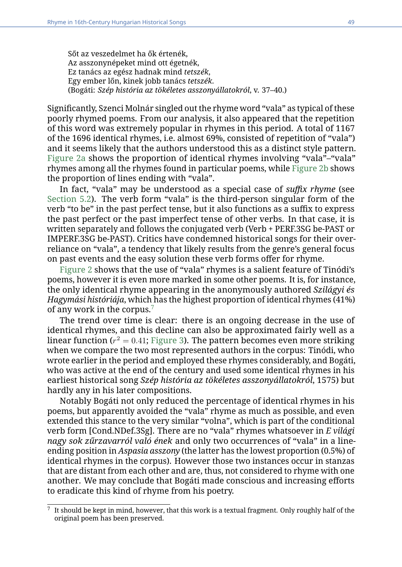Sőt az veszedelmet ha ők értenék, Az asszonynépeket mind ott égetnék, Ez tanács az egész hadnak mind *tetszék*, Egy ember lőn, kinek jobb tanács *tetszék*. (Bogáti: *Szép história az tökéletes asszonyállatokról*, v. 37–40.)

Significantly, Szenci Molnár singled out the rhyme word "vala" as typical of these poorly rhymed poems. From our analysis, it also appeared that the repetition of this word was extremely popular in rhymes in this period. A total of 1167 of the 1696 identical rhymes, i.e. almost 69%, consisted of repetition of "vala") and it seems likely that the authors understood this as a distinct style pattern. [Figure 2a](#page-7-0) shows the proportion of identical rhymes involving "vala"–"vala" rhymes among all the rhymes found in particular poems, while [Figure 2b](#page-7-0) shows the proportion of lines ending with "vala".

In fact, "vala" may be understood as a special case of *suffix rhyme* (see [Section 5.2\)](#page-8-0). The verb form "vala" is the third-person singular form of the verb "to be" in the past perfect tense, but it also functions as a suffix to express the past perfect or the past imperfect tense of other verbs. In that case, it is written separately and follows the conjugated verb (Verb + PERF.3SG be-PAST or IMPERF.3SG be-PAST). Critics have condemned historical songs for their overreliance on "vala", a tendency that likely results from the genre's general focus on past events and the easy solution these verb forms offer for rhyme.

[Figure 2](#page-7-0) shows that the use of "vala" rhymes is a salient feature of Tinódi's poems, however it is even more marked in some other poems. It is, for instance, the only identical rhyme appearing in the anonymously authored *Szilágyi és Hagymási históriája*, which has the highest proportion of identical rhymes (41%) of any work in the corpus.[7](#page-6-0)

The trend over time is clear: there is an ongoing decrease in the use of identical rhymes, and this decline can also be approximated fairly well as a linear function ( $r^2=0.41$ ; [Figure 3\)](#page-8-1). The pattern becomes even more striking when we compare the two most represented authors in the corpus: Tinódi, who wrote earlier in the period and employed these rhymes considerably, and Bogáti, who was active at the end of the century and used some identical rhymes in his earliest historical song *Szép história az tökéletes asszonyállatokról*, 1575) but hardly any in his later compositions.

Notably Bogáti not only reduced the percentage of identical rhymes in his poems, but apparently avoided the "vala" rhyme as much as possible, and even extended this stance to the very similar "volna", which is part of the conditional verb form [Cond.NDef.3Sg]. There are no "vala" rhymes whatsoever in *E világi nagy sok zűrzavarról való ének* and only two occurrences of "vala" in a lineending position in *Aspasia asszony* (the latter has the lowest proportion (0.5%) of identical rhymes in the corpus). However those two instances occur in stanzas that are distant from each other and are, thus, not considered to rhyme with one another. We may conclude that Bogáti made conscious and increasing efforts to eradicate this kind of rhyme from his poetry.

<span id="page-6-0"></span> $^7\,$  It should be kept in mind, however, that this work is a textual fragment. Only roughly half of the original poem has been preserved.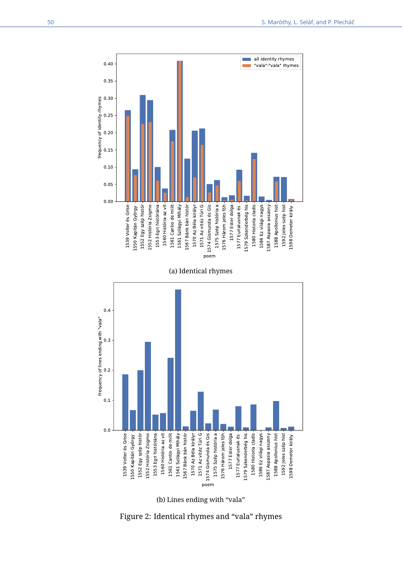<span id="page-7-0"></span>

(b) Lines ending with "vala"

Figure 2: Identical rhymes and "vala" rhymes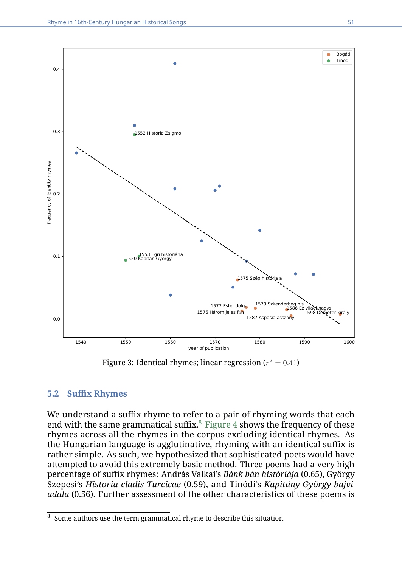<span id="page-8-1"></span>

Figure 3: Identical rhymes; linear regression ( $r^2=0.41$ )

#### <span id="page-8-0"></span>**5.2 Suffix Rhymes**

We understand a suffix rhyme to refer to a pair of rhyming words that each end with the same grammatical suffix. $8$  [Figure 4](#page-9-0) shows the frequency of these rhymes across all the rhymes in the corpus excluding identical rhymes. As the Hungarian language is agglutinative, rhyming with an identical suffix is rather simple. As such, we hypothesized that sophisticated poets would have attempted to avoid this extremely basic method. Three poems had a very high percentage of suffix rhymes: András Valkai's *Bánk bán históriája* (0.65), György Szepesi's *Historia cladis Turcicae* (0.59), and Tinódi's *Kapitány György bajviadala* (0.56). Further assessment of the other characteristics of these poems is

<span id="page-8-2"></span><sup>&</sup>lt;sup>8</sup> Some authors use the term grammatical rhyme to describe this situation.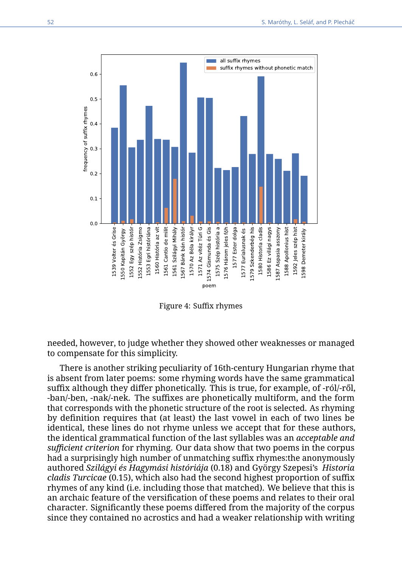<span id="page-9-0"></span>

Figure 4: Suffix rhymes

needed, however, to judge whether they showed other weaknesses or managed to compensate for this simplicity.

There is another striking peculiarity of 16th-century Hungarian rhyme that is absent from later poems: some rhyming words have the same grammatical suffix although they differ phonetically. This is true, for example, of -ról/-ről, -ban/-ben, -nak/-nek. The suffixes are phonetically multiform, and the form that corresponds with the phonetic structure of the root is selected. As rhyming by definition requires that (at least) the last vowel in each of two lines be identical, these lines do not rhyme unless we accept that for these authors, the identical grammatical function of the last syllables was an *acceptable and sufficient criterion* for rhyming. Our data show that two poems in the corpus had a surprisingly high number of unmatching suffix rhymes:the anonymously authored *Szilágyi és Hagymási históriája* (0.18) and György Szepesi's *Historia cladis Turcicae* (0.15), which also had the second highest proportion of suffix rhymes of any kind (i.e. including those that matched). We believe that this is an archaic feature of the versification of these poems and relates to their oral character. Significantly these poems differed from the majority of the corpus since they contained no acrostics and had a weaker relationship with writing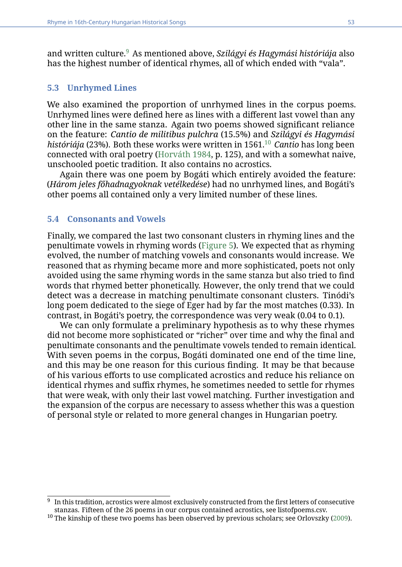and written culture.[9](#page-10-0) As mentioned above, *Szilágyi és Hagymási históriája* also has the highest number of identical rhymes, all of which ended with "vala".

#### **5.3 Unrhymed Lines**

We also examined the proportion of unrhymed lines in the corpus poems. Unrhymed lines were defined here as lines with a different last vowel than any other line in the same stanza. Again two poems showed significant reliance on the feature: *Cantio de militibus pulchra* (15.5%) and *Szilágyi és Hagymási históriája* (23%). Both these works were written in 1561.[10](#page-10-1) *Cantio* has long been connected with oral poetry [\(Horváth 1984,](#page-13-8) p. 125), and with a somewhat naive, unschooled poetic tradition. It also contains no acrostics.

Again there was one poem by Bogáti which entirely avoided the feature: (*Három jeles főhadnagyoknak vetélkedése*) had no unrhymed lines, and Bogáti's other poems all contained only a very limited number of these lines.

#### **5.4 Consonants and Vowels**

Finally, we compared the last two consonant clusters in rhyming lines and the penultimate vowels in rhyming words [\(Figure 5\)](#page-11-0). We expected that as rhyming evolved, the number of matching vowels and consonants would increase. We reasoned that as rhyming became more and more sophisticated, poets not only avoided using the same rhyming words in the same stanza but also tried to find words that rhymed better phonetically. However, the only trend that we could detect was a decrease in matching penultimate consonant clusters. Tinódi's long poem dedicated to the siege of Eger had by far the most matches (0.33). In contrast, in Bogáti's poetry, the correspondence was very weak (0.04 to 0.1).

We can only formulate a preliminary hypothesis as to why these rhymes did not become more sophisticated or "richer" over time and why the final and penultimate consonants and the penultimate vowels tended to remain identical. With seven poems in the corpus, Bogáti dominated one end of the time line, and this may be one reason for this curious finding. It may be that because of his various efforts to use complicated acrostics and reduce his reliance on identical rhymes and suffix rhymes, he sometimes needed to settle for rhymes that were weak, with only their last vowel matching. Further investigation and the expansion of the corpus are necessary to assess whether this was a question of personal style or related to more general changes in Hungarian poetry.

<span id="page-10-0"></span><sup>9</sup> In this tradition, acrostics were almost exclusively constructed from the first letters of consecutive stanzas. Fifteen of the 26 poems in our corpus contained acrostics, see listofpoems.csv.

<span id="page-10-1"></span> $10$  The kinship of these two poems has been observed by previous scholars; see Orlovszky [\(2009\)](#page-14-10).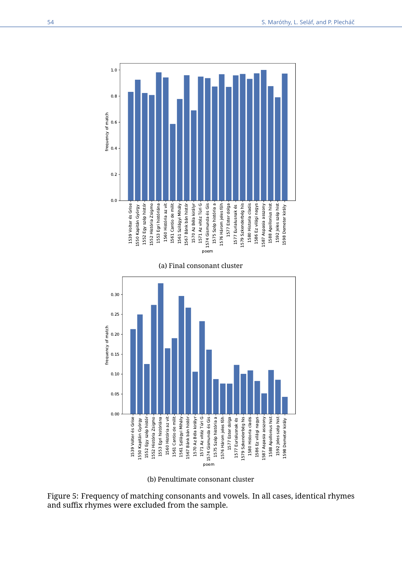<span id="page-11-0"></span>

(b) Penultimate consonant cluster

Figure 5: Frequency of matching consonants and vowels. In all cases, identical rhymes and suffix rhymes were excluded from the sample.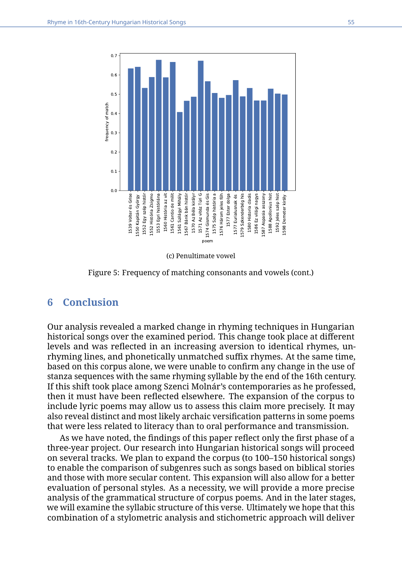

(c) Penultimate vowel

Figure 5: Frequency of matching consonants and vowels (cont.)

#### **6 Conclusion**

Our analysis revealed a marked change in rhyming techniques in Hungarian historical songs over the examined period. This change took place at different levels and was reflected in an increasing aversion to identical rhymes, unrhyming lines, and phonetically unmatched suffix rhymes. At the same time, based on this corpus alone, we were unable to confirm any change in the use of stanza sequences with the same rhyming syllable by the end of the 16th century. If this shift took place among Szenci Molnár's contemporaries as he professed, then it must have been reflected elsewhere. The expansion of the corpus to include lyric poems may allow us to assess this claim more precisely. It may also reveal distinct and most likely archaic versification patterns in some poems that were less related to literacy than to oral performance and transmission.

As we have noted, the findings of this paper reflect only the first phase of a three-year project. Our research into Hungarian historical songs will proceed on several tracks. We plan to expand the corpus (to 100–150 historical songs) to enable the comparison of subgenres such as songs based on biblical stories and those with more secular content. This expansion will also allow for a better evaluation of personal styles. As a necessity, we will provide a more precise analysis of the grammatical structure of corpus poems. And in the later stages, we will examine the syllabic structure of this verse. Ultimately we hope that this combination of a stylometric analysis and stichometric approach will deliver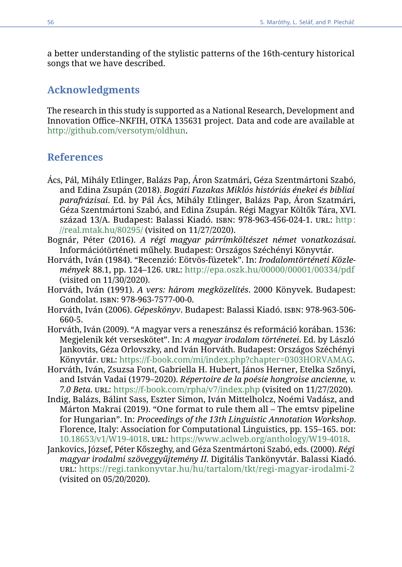a better understanding of the stylistic patterns of the 16th-century historical songs that we have described.

## **Acknowledgments**

The research in this study is supported as a National Research, Development and Innovation Office–NKFIH, OTKA 135631 project. Data and code are available at [http://github.com/versotym/oldhun.](http://github.com/versotym/oldhun)

#### **References**

- <span id="page-13-5"></span>Ács, Pál, Mihály Etlinger, Balázs Pap, Áron Szatmári, Géza Szentmártoni Szabó, and Edina Zsupán (2018). *Bogáti Fazakas Miklós históriás énekei és bibliai parafrázisai*. Ed. by Pál Ács, Mihály Etlinger, Balázs Pap, Áron Szatmári, Géza Szentmártoni Szabó, and Edina Zsupán. Régi Magyar Költők Tára, XVI. század 13/A. Budapest: Balassi Kiadó. isbn: 978-963-456-024-1. url: [http:](http://real.mtak.hu/80295/) [//real.mtak.hu/80295/](http://real.mtak.hu/80295/) (visited on 11/27/2020).
- <span id="page-13-2"></span>Bognár, Péter (2016). *A régi magyar párrímköltészet német vonatkozásai*. Információtörténeti műhely. Budapest: Országos Széchényi Könyvtár.
- <span id="page-13-8"></span>Horváth, Iván (1984). "Recenzió: Eötvös-füzetek". In: *Irodalomtörténeti Közlemények* 88.1, pp. 124–126. url: <http://epa.oszk.hu/00000/00001/00334/pdf> (visited on 11/30/2020).
- <span id="page-13-1"></span>Horváth, Iván (1991). *A vers: három megközelítés*. 2000 Könyvek. Budapest: Gondolat. isbn: 978-963-7577-00-0.
- <span id="page-13-3"></span>Horváth, Iván (2006). *Gépeskönyv*. Budapest: Balassi Kiadó. isbn: 978-963-506- 660-5.
- <span id="page-13-7"></span>Horváth, Iván (2009). "A magyar vers a reneszánsz és reformáció korában. 1536: Megjelenik két verseskötet". In: *A magyar irodalom történetei*. Ed. by László Jankovits, Géza Orlovszky, and Iván Horváth. Budapest: Országos Széchényi Könyvtár. url: [https://f-book.com/mi/index.php?chapter=0303HORVAMAG.](https://f-book.com/mi/index.php?chapter=0303HORVAMAG)
- <span id="page-13-0"></span>Horváth, Iván, Zsuzsa Font, Gabriella H. Hubert, János Herner, Etelka Szőnyi, and István Vadai (1979–2020). *Répertoire de la poésie hongroise ancienne, v. 7.0 Beta*. url: <https://f-book.com/rpha/v7/index.php> (visited on 11/27/2020).
- <span id="page-13-6"></span>Indig, Balázs, Bálint Sass, Eszter Simon, Iván Mittelholcz, Noémi Vadász, and Márton Makrai (2019). "One format to rule them all – The emtsv pipeline for Hungarian". In: *Proceedings of the 13th Linguistic Annotation Workshop*. Florence, Italy: Association for Computational Linguistics, pp. 155–165. doi: [10.18653/v1/W19-4018.](https://doi.org/10.18653/v1/W19-4018) url: [https://www.aclweb.org/anthology/W19-4018.](https://www.aclweb.org/anthology/W19-4018)
- <span id="page-13-4"></span>Jankovics, József, Péter Kőszeghy, and Géza Szentmártoni Szabó, eds. (2000). *Régi magyar irodalmi szöveggyűjtemény II.* Digitális Tankönyvtár. Balassi Kiadó. url: <https://regi.tankonyvtar.hu/hu/tartalom/tkt/regi-magyar-irodalmi-2> (visited on 05/20/2020).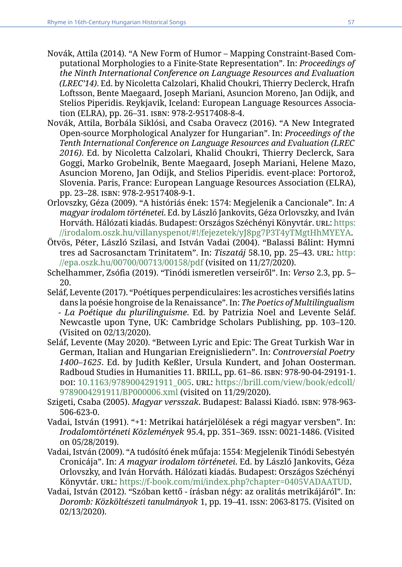- <span id="page-14-8"></span>Novák, Attila (2014). "A New Form of Humor – Mapping Constraint-Based Computational Morphologies to a Finite-State Representation". In: *Proceedings of the Ninth International Conference on Language Resources and Evaluation (LREC'14)*. Ed. by Nicoletta Calzolari, Khalid Choukri, Thierry Declerck, Hrafn Loftsson, Bente Maegaard, Joseph Mariani, Asuncion Moreno, Jan Odijk, and Stelios Piperidis. Reykjavik, Iceland: European Language Resources Association (ELRA), pp. 26–31. isbn: 978-2-9517408-8-4.
- <span id="page-14-9"></span>Novák, Attila, Borbála Siklósi, and Csaba Oravecz (2016). "A New Integrated Open-source Morphological Analyzer for Hungarian". In: *Proceedings of the Tenth International Conference on Language Resources and Evaluation (LREC 2016)*. Ed. by Nicoletta Calzolari, Khalid Choukri, Thierry Declerck, Sara Goggi, Marko Grobelnik, Bente Maegaard, Joseph Mariani, Helene Mazo, Asuncion Moreno, Jan Odijk, and Stelios Piperidis. event-place: Portorož, Slovenia. Paris, France: European Language Resources Association (ELRA), pp. 23–28. isbn: 978-2-9517408-9-1.
- <span id="page-14-10"></span>Orlovszky, Géza (2009). "A históriás ének: 1574: Megjelenik a Cancionale". In: *A magyar irodalom történetei*. Ed. by László Jankovits, Géza Orlovszky, and Iván Horváth. Hálózati kiadás. Budapest: Országos Széchényi Könyvtár. URL: [https:](https://irodalom.oszk.hu/villanyspenot/#!/fejezetek/yJ8pg7P3T4yTMgtHhMYEYA) [//irodalom.oszk.hu/villanyspenot/#!/fejezetek/yJ8pg7P3T4yTMgtHhMYEYA.](https://irodalom.oszk.hu/villanyspenot/#!/fejezetek/yJ8pg7P3T4yTMgtHhMYEYA)
- <span id="page-14-7"></span>Ötvös, Péter, László Szilasi, and István Vadai (2004). "Balassi Bálint: Hymni tres ad Sacrosanctam Trinitatem". In: *Tiszatáj* 58.10, pp. 25–43. url: [http:](http://epa.oszk.hu/00700/00713/00158/pdf) [//epa.oszk.hu/00700/00713/00158/pdf](http://epa.oszk.hu/00700/00713/00158/pdf) (visited on 11/27/2020).
- <span id="page-14-2"></span>Schelhammer, Zsófia (2019). "Tinódi ismeretlen verseiről". In: *Verso* 2.3, pp. 5– 20.
- <span id="page-14-6"></span>Seláf, Levente (2017). "Poétiques perpendiculaires: les acrostiches versifiés latins dans la poésie hongroise de la Renaissance". In: *The Poetics of Multilingualism - La Poétique du plurilinguisme*. Ed. by Patrizia Noel and Levente Seláf. Newcastle upon Tyne, UK: Cambridge Scholars Publishing, pp. 103–120. (Visited on 02/13/2020).
- <span id="page-14-0"></span>Seláf, Levente (May 2020). "Between Lyric and Epic: The Great Turkish War in German, Italian and Hungarian Ereignisliedern". In: *Controversial Poetry 1400–1625*. Ed. by Judith Keßler, Ursula Kundert, and Johan Oosterman. Radboud Studies in Humanities 11. BRILL, pp. 61–86. isbn: 978-90-04-29191-1. doi: [10.1163/9789004291911\\_005.](https://doi.org/10.1163/9789004291911_005) url: [https://brill.com/view/book/edcoll/](https://brill.com/view/book/edcoll/9789004291911/BP000006.xml) [9789004291911/BP000006.xml](https://brill.com/view/book/edcoll/9789004291911/BP000006.xml) (visited on 11/29/2020).
- <span id="page-14-3"></span>Szigeti, Csaba (2005). *Magyar versszak*. Budapest: Balassi Kiadó. isbn: 978-963- 506-623-0.
- <span id="page-14-4"></span>Vadai, István (1991). "+1: Metrikai határjelölések a régi magyar versben". In: *Irodalomtörténeti Közlemények* 95.4, pp. 351–369. issn: 0021-1486. (Visited on 05/28/2019).
- <span id="page-14-1"></span>Vadai, István (2009). "A tudósító ének műfaja: 1554: Megjelenik Tinódi Sebestyén Cronicája". In: *A magyar irodalom történetei*. Ed. by László Jankovits, Géza Orlovszky, and Iván Horváth. Hálózati kiadás. Budapest: Országos Széchényi Könyvtár. url: [https://f-book.com/mi/index.php?chapter=0405VADAATUD.](https://f-book.com/mi/index.php?chapter=0405VADAATUD)
- <span id="page-14-5"></span>Vadai, István (2012). "Szóban kettő - írásban négy: az oralitás metrikájáról". In: *Doromb: Közköltészeti tanulmányok* 1, pp. 19–41. issn: 2063-8175. (Visited on 02/13/2020).